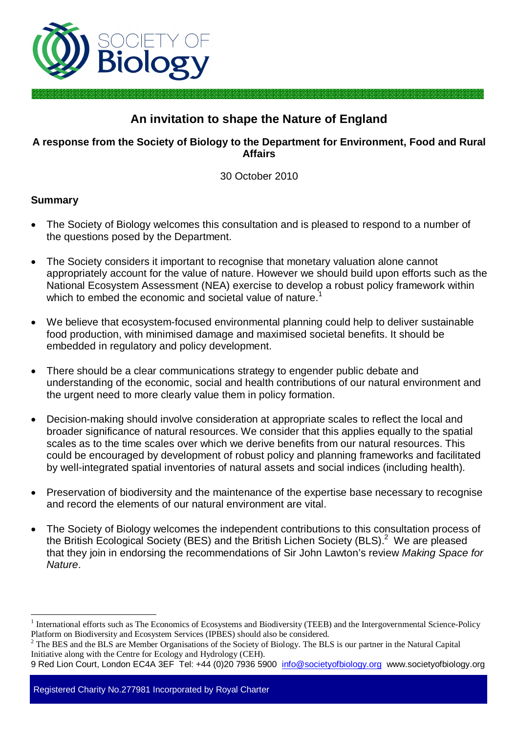

# **An invitation to shape the Nature of England**

### **A response from the Society of Biology to the Department for Environment, Food and Rural Affairs**

30 October 2010

### **Summary**

- The Society of Biology welcomes this consultation and is pleased to respond to a number of the questions posed by the Department.
- The Society considers it important to recognise that monetary valuation alone cannot appropriately account for the value of nature. However we should build upon efforts such as the National Ecosystem Assessment (NEA) exercise to develop a robust policy framework within which to embed the economic and societal value of nature.<sup>1</sup>
- We believe that ecosystem-focused environmental planning could help to deliver sustainable food production, with minimised damage and maximised societal benefits. It should be embedded in regulatory and policy development.
- There should be a clear communications strategy to engender public debate and understanding of the economic, social and health contributions of our natural environment and the urgent need to more clearly value them in policy formation.
- Decision-making should involve consideration at appropriate scales to reflect the local and broader significance of natural resources. We consider that this applies equally to the spatial scales as to the time scales over which we derive benefits from our natural resources. This could be encouraged by development of robust policy and planning frameworks and facilitated by well-integrated spatial inventories of natural assets and social indices (including health).
- Preservation of biodiversity and the maintenance of the expertise base necessary to recognise and record the elements of our natural environment are vital.
- The Society of Biology welcomes the independent contributions to this consultation process of the British Ecological Society (BES) and the British Lichen Society (BLS).<sup>2</sup> We are pleased that they join in endorsing the recommendations of Sir John Lawton's review *Making Space for Nature*.

Registered Charity No.277981 Incorporated by Royal Charter

 $\overline{a}$ 1 International efforts such as The Economics of Ecosystems and Biodiversity (TEEB) and the Intergovernmental Science-Policy Platform on Biodiversity and Ecosystem Services (IPBES) should also be considered.

<sup>2</sup> The BES and the BLS are Member Organisations of the Society of Biology. The BLS is our partner in the Natural Capital Initiative along with the Centre for Ecology and Hydrology (CEH).

<sup>9</sup> Red Lion Court, London EC4A 3EF Tel: +44 (0)20 7936 5900 info@societyofbiology.org www.societyofbiology.org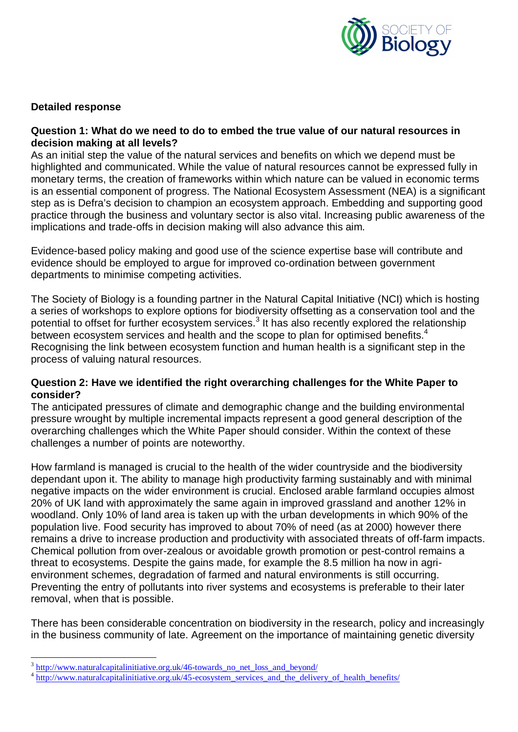

### **Detailed response**

#### **Question 1: What do we need to do to embed the true value of our natural resources in decision making at all levels?**

As an initial step the value of the natural services and benefits on which we depend must be highlighted and communicated. While the value of natural resources cannot be expressed fully in monetary terms, the creation of frameworks within which nature can be valued in economic terms is an essential component of progress. The National Ecosystem Assessment (NEA) is a significant step as is Defra's decision to champion an ecosystem approach. Embedding and supporting good practice through the business and voluntary sector is also vital. Increasing public awareness of the implications and trade-offs in decision making will also advance this aim.

Evidence-based policy making and good use of the science expertise base will contribute and evidence should be employed to argue for improved co-ordination between government departments to minimise competing activities.

The Society of Biology is a founding partner in the Natural Capital Initiative (NCI) which is hosting a series of workshops to explore options for biodiversity offsetting as a conservation tool and the potential to offset for further ecosystem services.<sup>3</sup> It has also recently explored the relationship between ecosystem services and health and the scope to plan for optimised benefits.<sup>4</sup> Recognising the link between ecosystem function and human health is a significant step in the process of valuing natural resources.

#### **Question 2: Have we identified the right overarching challenges for the White Paper to consider?**

The anticipated pressures of climate and demographic change and the building environmental pressure wrought by multiple incremental impacts represent a good general description of the overarching challenges which the White Paper should consider. Within the context of these challenges a number of points are noteworthy.

How farmland is managed is crucial to the health of the wider countryside and the biodiversity dependant upon it. The ability to manage high productivity farming sustainably and with minimal negative impacts on the wider environment is crucial. Enclosed arable farmland occupies almost 20% of UK land with approximately the same again in improved grassland and another 12% in woodland. Only 10% of land area is taken up with the urban developments in which 90% of the population live. Food security has improved to about 70% of need (as at 2000) however there remains a drive to increase production and productivity with associated threats of off-farm impacts. Chemical pollution from over-zealous or avoidable growth promotion or pest-control remains a threat to ecosystems. Despite the gains made, for example the 8.5 million ha now in agrienvironment schemes, degradation of farmed and natural environments is still occurring. Preventing the entry of pollutants into river systems and ecosystems is preferable to their later removal, when that is possible.

There has been considerable concentration on biodiversity in the research, policy and increasingly in the business community of late. Agreement on the importance of maintaining genetic diversity

 $\overline{a}$ 

<sup>3</sup> http://www.naturalcapitalinitiative.org.uk/46-towards\_no\_net\_loss\_and\_beyond/

<sup>&</sup>lt;sup>4</sup> http://www.naturalcapitalinitiative.org.uk/45-ecosystem\_services\_and\_the\_delivery\_of\_health\_benefits/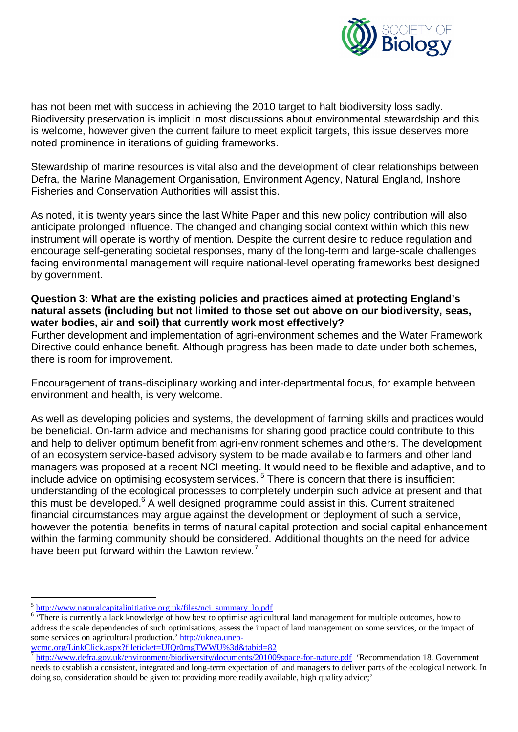

has not been met with success in achieving the 2010 target to halt biodiversity loss sadly. Biodiversity preservation is implicit in most discussions about environmental stewardship and this is welcome, however given the current failure to meet explicit targets, this issue deserves more noted prominence in iterations of guiding frameworks.

Stewardship of marine resources is vital also and the development of clear relationships between Defra, the Marine Management Organisation, Environment Agency, Natural England, Inshore Fisheries and Conservation Authorities will assist this.

As noted, it is twenty years since the last White Paper and this new policy contribution will also anticipate prolonged influence. The changed and changing social context within which this new instrument will operate is worthy of mention. Despite the current desire to reduce regulation and encourage self-generating societal responses, many of the long-term and large-scale challenges facing environmental management will require national-level operating frameworks best designed by government.

### **Question 3: What are the existing policies and practices aimed at protecting England's natural assets (including but not limited to those set out above on our biodiversity, seas, water bodies, air and soil) that currently work most effectively?**

Further development and implementation of agri-environment schemes and the Water Framework Directive could enhance benefit. Although progress has been made to date under both schemes, there is room for improvement.

Encouragement of trans-disciplinary working and inter-departmental focus, for example between environment and health, is very welcome.

As well as developing policies and systems, the development of farming skills and practices would be beneficial. On-farm advice and mechanisms for sharing good practice could contribute to this and help to deliver optimum benefit from agri-environment schemes and others. The development of an ecosystem service-based advisory system to be made available to farmers and other land managers was proposed at a recent NCI meeting. It would need to be flexible and adaptive, and to include advice on optimising ecosystem services.<sup>5</sup> There is concern that there is insufficient understanding of the ecological processes to completely underpin such advice at present and that this must be developed.<sup>6</sup> A well designed programme could assist in this. Current straitened financial circumstances may argue against the development or deployment of such a service, however the potential benefits in terms of natural capital protection and social capital enhancement within the farming community should be considered. Additional thoughts on the need for advice have been put forward within the Lawton review.<sup>7</sup>

l <sup>5</sup> http://www.naturalcapitalinitiative.org.uk/files/nci\_summary\_lo.pdf

<sup>&</sup>lt;sup>6</sup> 'There is currently a lack knowledge of how best to optimise agricultural land management for multiple outcomes, how to address the scale dependencies of such optimisations, assess the impact of land management on some services, or the impact of some services on agricultural production.' http://uknea.unep-

wcmc.org/LinkClick.aspx?fileticket=UIQr0mgTWWU%3d&tabid=82<br><sup>7</sup> http://www.defra.gov.uk/environment/biodiversity/documents/201009space-for-nature.pdf 'Recommendation 18. Government needs to establish a consistent, integrated and long-term expectation of land managers to deliver parts of the ecological network. In doing so, consideration should be given to: providing more readily available, high quality advice;'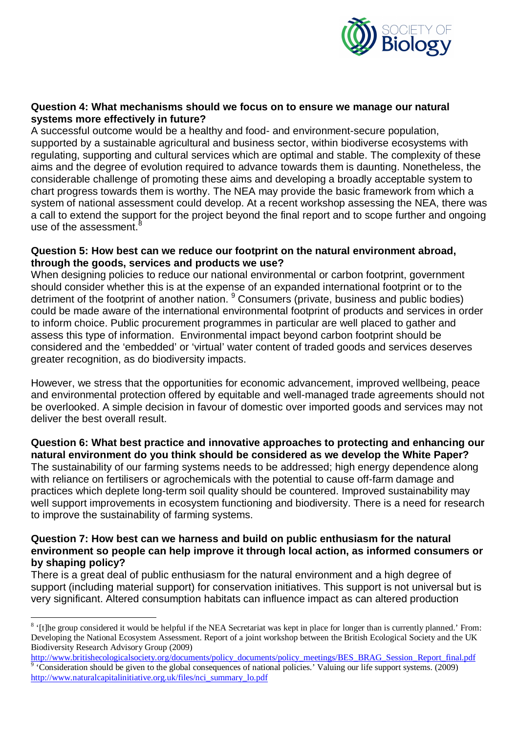

#### **Question 4: What mechanisms should we focus on to ensure we manage our natural systems more effectively in future?**

A successful outcome would be a healthy and food- and environment-secure population, supported by a sustainable agricultural and business sector, within biodiverse ecosystems with regulating, supporting and cultural services which are optimal and stable. The complexity of these aims and the degree of evolution required to advance towards them is daunting. Nonetheless, the considerable challenge of promoting these aims and developing a broadly acceptable system to chart progress towards them is worthy. The NEA may provide the basic framework from which a system of national assessment could develop. At a recent workshop assessing the NEA, there was a call to extend the support for the project beyond the final report and to scope further and ongoing use of the assessment. $8$ 

#### **Question 5: How best can we reduce our footprint on the natural environment abroad, through the goods, services and products we use?**

When designing policies to reduce our national environmental or carbon footprint, government should consider whether this is at the expense of an expanded international footprint or to the detriment of the footprint of another nation. <sup>9</sup> Consumers (private, business and public bodies) could be made aware of the international environmental footprint of products and services in order to inform choice. Public procurement programmes in particular are well placed to gather and assess this type of information. Environmental impact beyond carbon footprint should be considered and the 'embedded' or 'virtual' water content of traded goods and services deserves greater recognition, as do biodiversity impacts.

However, we stress that the opportunities for economic advancement, improved wellbeing, peace and environmental protection offered by equitable and well-managed trade agreements should not be overlooked. A simple decision in favour of domestic over imported goods and services may not deliver the best overall result.

**Question 6: What best practice and innovative approaches to protecting and enhancing our natural environment do you think should be considered as we develop the White Paper?** The sustainability of our farming systems needs to be addressed; high energy dependence along with reliance on fertilisers or agrochemicals with the potential to cause off-farm damage and practices which deplete long-term soil quality should be countered. Improved sustainability may well support improvements in ecosystem functioning and biodiversity. There is a need for research to improve the sustainability of farming systems.

#### **Question 7: How best can we harness and build on public enthusiasm for the natural environment so people can help improve it through local action, as informed consumers or by shaping policy?**

There is a great deal of public enthusiasm for the natural environment and a high degree of support (including material support) for conservation initiatives. This support is not universal but is very significant. Altered consumption habitats can influence impact as can altered production

 $\overline{a}$ <sup>8</sup> '[t]he group considered it would be helpful if the NEA Secretariat was kept in place for longer than is currently planned.' From: Developing the National Ecosystem Assessment. Report of a joint workshop between the British Ecological Society and the UK Biodiversity Research Advisory Group (2009)

http://www.britishecologicalsociety.org/documents/policy\_documents/policy\_meetings/BES\_BRAG\_Session\_Report\_final.pdf 9 'Consideration should be given to the global consequences of national policies.' Valuing our life support systems. (2009) http://www.naturalcapitalinitiative.org.uk/files/nci\_summary\_lo.pdf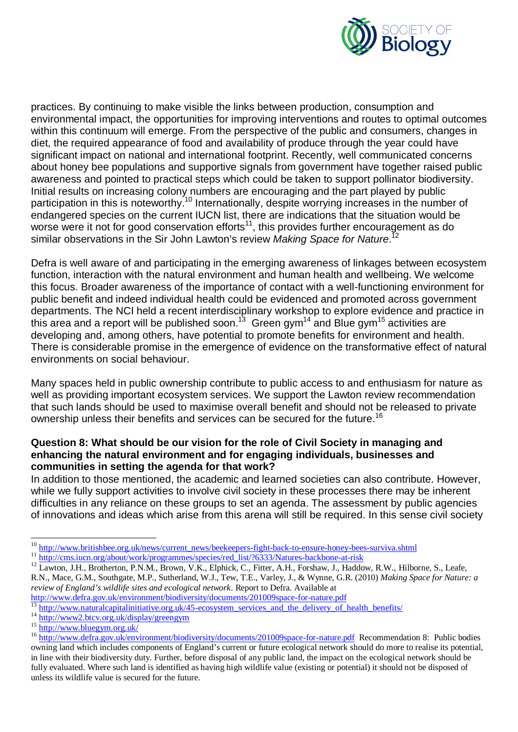

practices. By continuing to make visible the links between production, consumption and environmental impact, the opportunities for improving interventions and routes to optimal outcomes within this continuum will emerge. From the perspective of the public and consumers, changes in diet, the required appearance of food and availability of produce through the year could have significant impact on national and international footprint. Recently, well communicated concerns about honey bee populations and supportive signals from government have together raised public awareness and pointed to practical steps which could be taken to support pollinator biodiversity. Initial results on increasing colony numbers are encouraging and the part played by public participation in this is noteworthy.<sup>10</sup> Internationally, despite worrying increases in the number of endangered species on the current IUCN list, there are indications that the situation would be worse were it not for good conservation efforts $11$ , this provides further encouragement as do similar observations in the Sir John Lawton's review *Making Space for Nature*. 12

Defra is well aware of and participating in the emerging awareness of linkages between ecosystem function, interaction with the natural environment and human health and wellbeing. We welcome this focus. Broader awareness of the importance of contact with a well-functioning environment for public benefit and indeed individual health could be evidenced and promoted across government departments. The NCI held a recent interdisciplinary workshop to explore evidence and practice in this area and a report will be published soon.<sup>13</sup> Green gym<sup>14</sup> and Blue gym<sup>15</sup> activities are developing and, among others, have potential to promote benefits for environment and health. There is considerable promise in the emergence of evidence on the transformative effect of natural environments on social behaviour.

Many spaces held in public ownership contribute to public access to and enthusiasm for nature as well as providing important ecosystem services. We support the Lawton review recommendation that such lands should be used to maximise overall benefit and should not be released to private ownership unless their benefits and services can be secured for the future.<sup>16</sup>

### **Question 8: What should be our vision for the role of Civil Society in managing and enhancing the natural environment and for engaging individuals, businesses and communities in setting the agenda for that work?**

In addition to those mentioned, the academic and learned societies can also contribute. However, while we fully support activities to involve civil society in these processes there may be inherent difficulties in any reliance on these groups to set an agenda. The assessment by public agencies of innovations and ideas which arise from this arena will still be required. In this sense civil society

<sup>14</sup> http://www2.btcv.org.uk/display/greengym

 $\overline{a}$ <sup>10</sup> http://www.britishbee.org.uk/news/current\_news/beekeepers-fight-back-to-ensure-honey-bees-surviva.shtml

<sup>&</sup>lt;sup>11</sup> http://cms.iucn.org/about/work/programmes/species/red\_list/?6333/Natures-backbone-at-risk

<sup>&</sup>lt;sup>12</sup> Lawton, J.H., Brotherton, P.N.M., Brown, V.K., Elphick, C., Fitter, A.H., Forshaw, J., Haddow, R.W., Hilborne, S., Leafe, R.N., Mace, G.M., Southgate, M.P., Sutherland, W.J., Tew, T.E., Varley, J., & Wynne, G.R. (2010) *Making Space for Nature: a review of England's wildlife sites and ecological network*. Report to Defra. Available at

http://www.defra.gov.uk/environment/biodiversity/documents/201009space-for-nature.pdf

<sup>&</sup>lt;sup>13</sup> http://www.naturalcapitalinitiative.org.uk/45-ecosystem\_services\_and\_the\_delivery\_of\_health\_benefits/

<sup>15</sup> http://www.bluegym.org.uk/

<sup>&</sup>lt;sup>16</sup> http://www.defra.gov.uk/environment/biodiversity/documents/201009space-for-nature.pdf Recommendation 8: Public bodies owning land which includes components of England's current or future ecological network should do more to realise its potential, in line with their biodiversity duty. Further, before disposal of any public land, the impact on the ecological network should be fully evaluated. Where such land is identified as having high wildlife value (existing or potential) it should not be disposed of unless its wildlife value is secured for the future.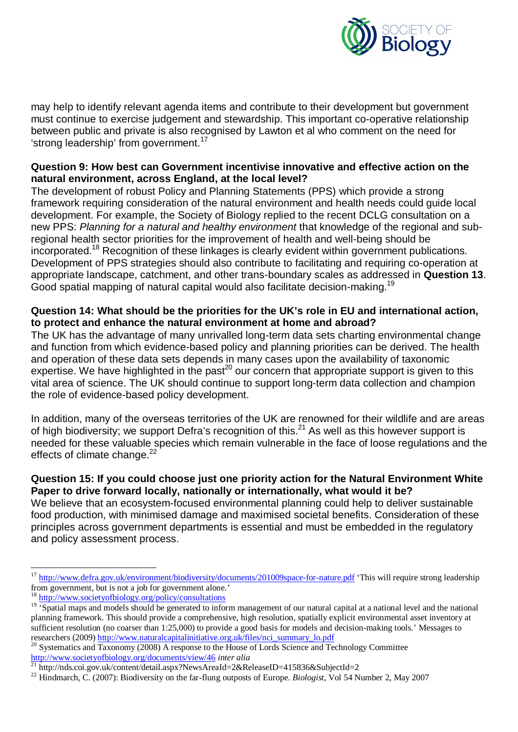

may help to identify relevant agenda items and contribute to their development but government must continue to exercise judgement and stewardship. This important co-operative relationship between public and private is also recognised by Lawton et al who comment on the need for 'strong leadership' from government.<sup>17</sup>

#### **Question 9: How best can Government incentivise innovative and effective action on the natural environment, across England, at the local level?**

The development of robust Policy and Planning Statements (PPS) which provide a strong framework requiring consideration of the natural environment and health needs could guide local development. For example, the Society of Biology replied to the recent DCLG consultation on a new PPS: *Planning for a natural and healthy environment* that knowledge of the regional and subregional health sector priorities for the improvement of health and well-being should be incorporated.<sup>18</sup> Recognition of these linkages is clearly evident within government publications. Development of PPS strategies should also contribute to facilitating and requiring co-operation at appropriate landscape, catchment, and other trans-boundary scales as addressed in **Question 13**. Good spatial mapping of natural capital would also facilitate decision-making.<sup>19</sup>

## **Question 14: What should be the priorities for the UK's role in EU and international action, to protect and enhance the natural environment at home and abroad?**

The UK has the advantage of many unrivalled long-term data sets charting environmental change and function from which evidence-based policy and planning priorities can be derived. The health and operation of these data sets depends in many cases upon the availability of taxonomic expertise. We have highlighted in the past<sup>20</sup> our concern that appropriate support is given to this vital area of science. The UK should continue to support long-term data collection and champion the role of evidence-based policy development.

In addition, many of the overseas territories of the UK are renowned for their wildlife and are areas of high biodiversity; we support Defra's recognition of this.<sup>21</sup> As well as this however support is needed for these valuable species which remain vulnerable in the face of loose regulations and the effects of climate change.<sup>22</sup>

### **Question 15: If you could choose just one priority action for the Natural Environment White Paper to drive forward locally, nationally or internationally, what would it be?**

We believe that an ecosystem-focused environmental planning could help to deliver sustainable food production, with minimised damage and maximised societal benefits. Consideration of these principles across government departments is essential and must be embedded in the regulatory and policy assessment process.

 $\overline{a}$ <sup>17</sup> http://www.defra.gov.uk/environment/biodiversity/documents/201009space-for-nature.pdf 'This will require strong leadership from government, but is not a job for government alone.'

<sup>18</sup> http://www.societyofbiology.org/policy/consultations

<sup>&</sup>lt;sup>19</sup> 'Spatial maps and models should be generated to inform management of our natural capital at a national level and the national planning framework. This should provide a comprehensive, high resolution, spatially explicit environmental asset inventory at sufficient resolution (no coarser than 1:25,000) to provide a good basis for models and decision-making tools.' Messages to researchers (2009) http://www.naturalcapitalinitiative.org.uk/files/nci\_summary\_lo.pdf

<sup>&</sup>lt;sup>20</sup> Systematics and Taxonomy (2008) A response to the House of Lords Science and Technology Committee http://www.societyofbiology.org/documents/view/46 *inter alia*

<sup>&</sup>lt;sup>21</sup> http://nds.coi.gov.uk/content/detail.aspx?NewsAreaId=2&ReleaseID=415836&SubjectId=2

<sup>&</sup>lt;sup>22</sup> Hindmarch, C. (2007): Biodiversity on the far-flung outposts of Europe. *Biologist*, Vol 54 Number 2, May 2007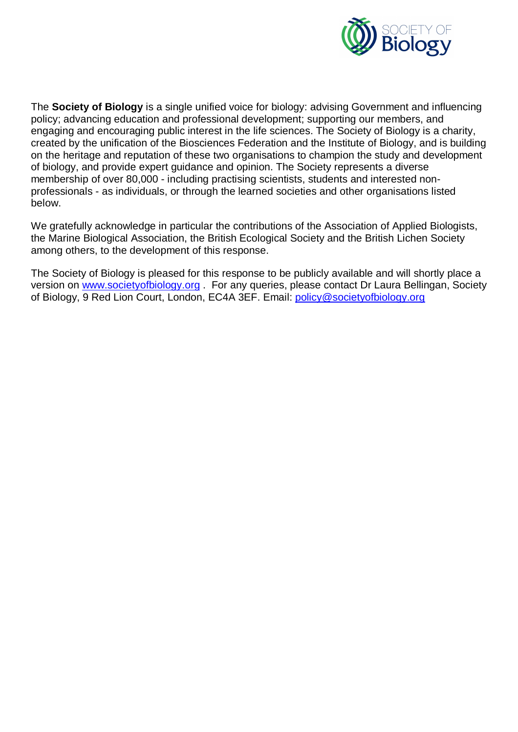

The **Society of Biology** is a single unified voice for biology: advising Government and influencing policy; advancing education and professional development; supporting our members, and engaging and encouraging public interest in the life sciences. The Society of Biology is a charity, created by the unification of the Biosciences Federation and the Institute of Biology, and is building on the heritage and reputation of these two organisations to champion the study and development of biology, and provide expert guidance and opinion. The Society represents a diverse membership of over 80,000 - including practising scientists, students and interested nonprofessionals - as individuals, or through the learned societies and other organisations listed below.

We gratefully acknowledge in particular the contributions of the Association of Applied Biologists, the Marine Biological Association, the British Ecological Society and the British Lichen Society among others, to the development of this response.

The Society of Biology is pleased for this response to be publicly available and will shortly place a version on www.societyofbiology.org . For any queries, please contact Dr Laura Bellingan, Society of Biology, 9 Red Lion Court, London, EC4A 3EF. Email: policy@societyofbiology.org